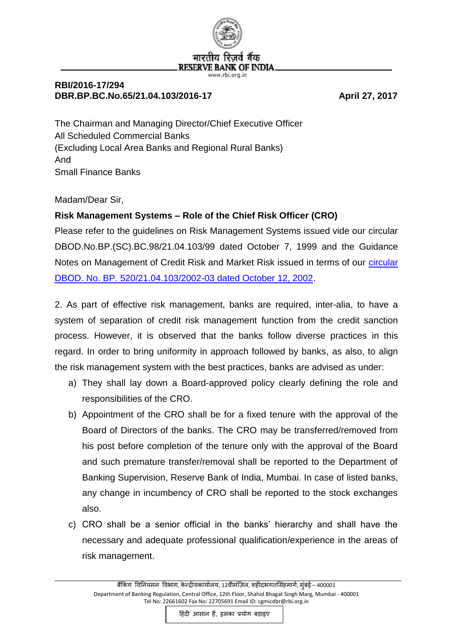

## **RBI/2016-17/294** DBR.BP.BC.No.65/21.04.103/2016-17 April 27, 2017

The Chairman and Managing Director/Chief Executive Officer All Scheduled Commercial Banks (Excluding Local Area Banks and Regional Rural Banks) And Small Finance Banks

Madam/Dear Sir,

## **Risk Management Systems – Role of the Chief Risk Officer (CRO)**

Please refer to the guidelines on Risk Management Systems issued vide our circular DBOD.No.BP.(SC).BC.98/21.04.103/99 dated October 7, 1999 and the Guidance Notes on Management of Credit Risk and Market Risk issued in terms of our [circular](https://www.rbi.org.in/Scripts/NotificationUser.aspx?Id=905&Mode=0)  [DBOD. No. BP. 520/21.04.103/2002-03 dated October 12, 2002.](https://www.rbi.org.in/Scripts/NotificationUser.aspx?Id=905&Mode=0)

2. As part of effective risk management, banks are required, inter-alia, to have a system of separation of credit risk management function from the credit sanction process. However, it is observed that the banks follow diverse practices in this regard. In order to bring uniformity in approach followed by banks, as also, to align the risk management system with the best practices, banks are advised as under:

- a) They shall lay down a Board-approved policy clearly defining the role and responsibilities of the CRO.
- b) Appointment of the CRO shall be for a fixed tenure with the approval of the Board of Directors of the banks. The CRO may be transferred/removed from his post before completion of the tenure only with the approval of the Board and such premature transfer/removal shall be reported to the Department of Banking Supervision, Reserve Bank of India, Mumbai. In case of listed banks, any change in incumbency of CRO shall be reported to the stock exchanges also.
- c) CRO shall be a senior official in the banks' hierarchy and shall have the necessary and adequate professional qualification/experience in the areas of risk management.